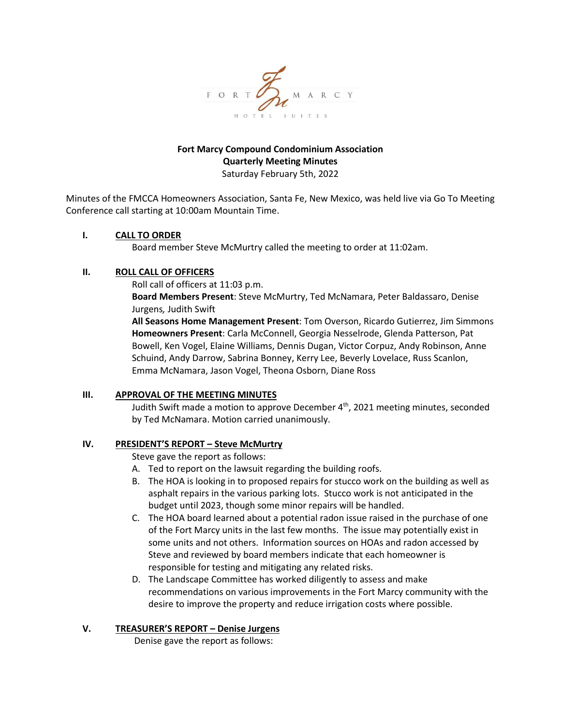

### **Fort Marcy Compound Condominium Association Quarterly Meeting Minutes** Saturday February 5th, 2022

Minutes of the FMCCA Homeowners Association, Santa Fe, New Mexico, was held live via Go To Meeting Conference call starting at 10:00am Mountain Time.

#### **I. CALL TO ORDER**

Board member Steve McMurtry called the meeting to order at 11:02am.

### **II. ROLL CALL OF OFFICERS**

Roll call of officers at 11:03 p.m.

**Board Members Present**: Steve McMurtry, Ted McNamara, Peter Baldassaro, Denise Jurgens*,* Judith Swift

**All Seasons Home Management Present**: Tom Overson, Ricardo Gutierrez, Jim Simmons **Homeowners Present**: Carla McConnell, Georgia Nesselrode, Glenda Patterson, Pat Bowell, Ken Vogel, Elaine Williams, Dennis Dugan, Victor Corpuz, Andy Robinson, Anne Schuind, Andy Darrow, Sabrina Bonney, Kerry Lee, Beverly Lovelace, Russ Scanlon, Emma McNamara, Jason Vogel, Theona Osborn, Diane Ross

### **III. APPROVAL OF THE MEETING MINUTES**

Judith Swift made a motion to approve December 4<sup>th</sup>, 2021 meeting minutes, seconded by Ted McNamara. Motion carried unanimously.

### **IV. PRESIDENT'S REPORT – Steve McMurtry**

Steve gave the report as follows:

- A. Ted to report on the lawsuit regarding the building roofs.
- B. The HOA is looking in to proposed repairs for stucco work on the building as well as asphalt repairs in the various parking lots. Stucco work is not anticipated in the budget until 2023, though some minor repairs will be handled.
- C. The HOA board learned about a potential radon issue raised in the purchase of one of the Fort Marcy units in the last few months. The issue may potentially exist in some units and not others. Information sources on HOAs and radon accessed by Steve and reviewed by board members indicate that each homeowner is responsible for testing and mitigating any related risks.
- D. The Landscape Committee has worked diligently to assess and make recommendations on various improvements in the Fort Marcy community with the desire to improve the property and reduce irrigation costs where possible.

### **V. TREASURER'S REPORT – Denise Jurgens**

Denise gave the report as follows: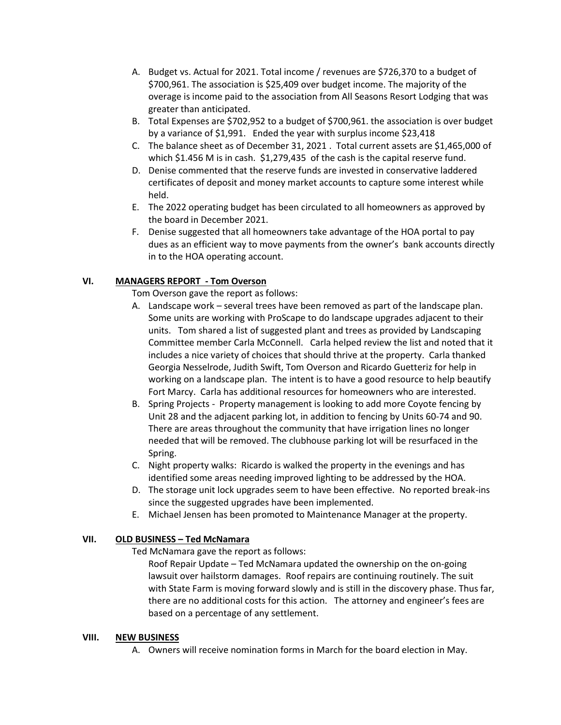- A. Budget vs. Actual for 2021. Total income / revenues are \$726,370 to a budget of \$700,961. The association is \$25,409 over budget income. The majority of the overage is income paid to the association from All Seasons Resort Lodging that was greater than anticipated.
- B. Total Expenses are \$702,952 to a budget of \$700,961. the association is over budget by a variance of \$1,991. Ended the year with surplus income \$23,418
- C. The balance sheet as of December 31, 2021 . Total current assets are \$1,465,000 of which \$1.456 M is in cash. \$1,279,435 of the cash is the capital reserve fund.
- D. Denise commented that the reserve funds are invested in conservative laddered certificates of deposit and money market accounts to capture some interest while held.
- E. The 2022 operating budget has been circulated to all homeowners as approved by the board in December 2021.
- F. Denise suggested that all homeowners take advantage of the HOA portal to pay dues as an efficient way to move payments from the owner's bank accounts directly in to the HOA operating account.

# **VI. MANAGERS REPORT - Tom Overson**

Tom Overson gave the report as follows:

- A. Landscape work several trees have been removed as part of the landscape plan. Some units are working with ProScape to do landscape upgrades adjacent to their units. Tom shared a list of suggested plant and trees as provided by Landscaping Committee member Carla McConnell. Carla helped review the list and noted that it includes a nice variety of choices that should thrive at the property. Carla thanked Georgia Nesselrode, Judith Swift, Tom Overson and Ricardo Guetteriz for help in working on a landscape plan. The intent is to have a good resource to help beautify Fort Marcy. Carla has additional resources for homeowners who are interested.
- B. Spring Projects Property management is looking to add more Coyote fencing by Unit 28 and the adjacent parking lot, in addition to fencing by Units 60-74 and 90. There are areas throughout the community that have irrigation lines no longer needed that will be removed. The clubhouse parking lot will be resurfaced in the Spring.
- C. Night property walks: Ricardo is walked the property in the evenings and has identified some areas needing improved lighting to be addressed by the HOA.
- D. The storage unit lock upgrades seem to have been effective. No reported break-ins since the suggested upgrades have been implemented.
- E. Michael Jensen has been promoted to Maintenance Manager at the property.

### **VII. OLD BUSINESS – Ted McNamara**

Ted McNamara gave the report as follows:

Roof Repair Update – Ted McNamara updated the ownership on the on-going lawsuit over hailstorm damages. Roof repairs are continuing routinely. The suit with State Farm is moving forward slowly and is still in the discovery phase. Thus far, there are no additional costs for this action. The attorney and engineer's fees are based on a percentage of any settlement.

### **VIII. NEW BUSINESS**

A. Owners will receive nomination forms in March for the board election in May.